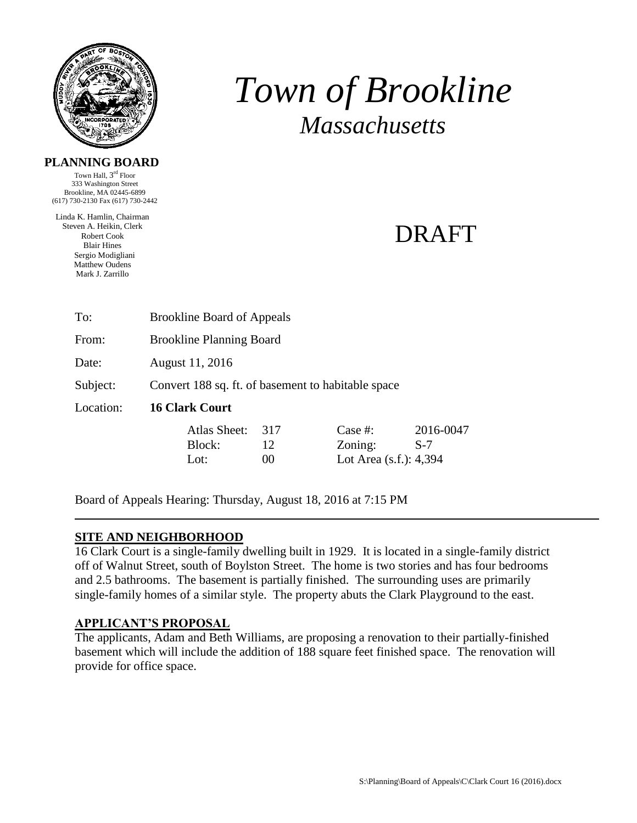

# *Town of Brookline Massachusetts*

#### **PLANNING BOARD**

Town Hall, 3<sup>rd</sup> Floor 333 Washington Street Brookline, MA 02445-6899 (617) 730-2130 Fax (617) 730-2442

Linda K. Hamlin, Chairman Steven A. Heikin, Clerk Robert Cook Blair Hines Sergio Modigliani Matthew Oudens Mark J. Zarrillo

## DRAFT

| To:       | <b>Brookline Board of Appeals</b>                  |
|-----------|----------------------------------------------------|
| From:     | <b>Brookline Planning Board</b>                    |
| Date:     | August 11, 2016                                    |
| Subject:  | Convert 188 sq. ft. of basement to habitable space |
| Location: | <b>16 Clark Court</b>                              |
|           |                                                    |

| Atlas Sheet: | 317 | Case #:                   | 2016-0047 |
|--------------|-----|---------------------------|-----------|
| Block:       | 12  | Zoning:                   | -S-7      |
| Lot:         | 00  | Lot Area $(s.f.)$ : 4,394 |           |

Board of Appeals Hearing: Thursday, August 18, 2016 at 7:15 PM

#### **SITE AND NEIGHBORHOOD**

16 Clark Court is a single-family dwelling built in 1929. It is located in a single-family district off of Walnut Street, south of Boylston Street. The home is two stories and has four bedrooms and 2.5 bathrooms. The basement is partially finished. The surrounding uses are primarily single-family homes of a similar style. The property abuts the Clark Playground to the east.

#### **APPLICANT'S PROPOSAL**

The applicants, Adam and Beth Williams, are proposing a renovation to their partially-finished basement which will include the addition of 188 square feet finished space. The renovation will provide for office space.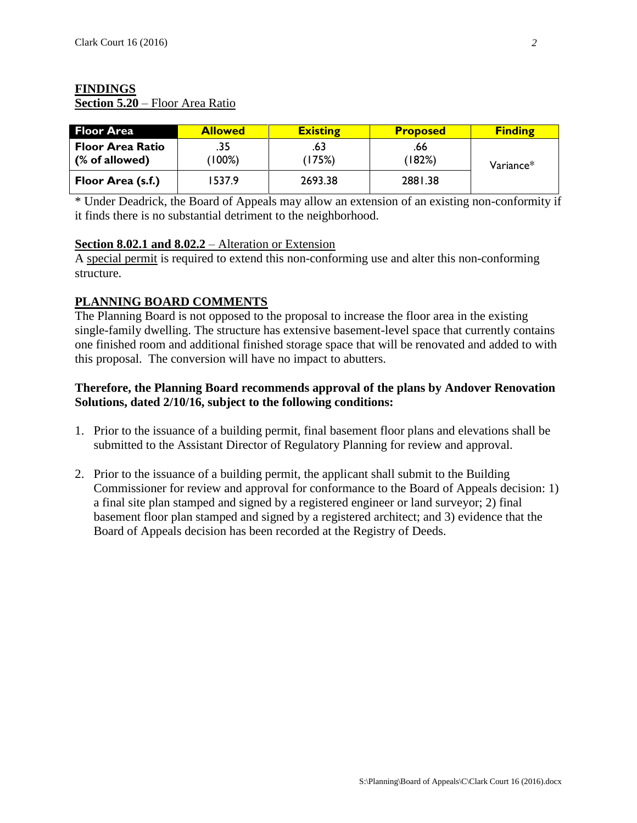### **FINDINGS**

**Section 5.20** – Floor Area Ratio

| <b>Floor Area</b>                         | <b>Allowed</b>   | <b>Existing</b> | <b>Proposed</b> | <b>Finding</b> |
|-------------------------------------------|------------------|-----------------|-----------------|----------------|
| <b>Floor Area Ratio</b><br>(% of allowed) | .35<br>$(100\%)$ | .63<br>(175%)   | .66<br>(182%)   | Variance*      |
| Floor Area (s.f.)                         | 1537.9           | 2693.38         | 2881.38         |                |

\* Under Deadrick, the Board of Appeals may allow an extension of an existing non-conformity if it finds there is no substantial detriment to the neighborhood.

#### **Section 8.02.1 and 8.02.2** – Alteration or Extension

A special permit is required to extend this non-conforming use and alter this non-conforming structure.

#### **PLANNING BOARD COMMENTS**

The Planning Board is not opposed to the proposal to increase the floor area in the existing single-family dwelling. The structure has extensive basement-level space that currently contains one finished room and additional finished storage space that will be renovated and added to with this proposal. The conversion will have no impact to abutters.

#### **Therefore, the Planning Board recommends approval of the plans by Andover Renovation Solutions, dated 2/10/16, subject to the following conditions:**

- 1. Prior to the issuance of a building permit, final basement floor plans and elevations shall be submitted to the Assistant Director of Regulatory Planning for review and approval.
- 2. Prior to the issuance of a building permit, the applicant shall submit to the Building Commissioner for review and approval for conformance to the Board of Appeals decision: 1) a final site plan stamped and signed by a registered engineer or land surveyor; 2) final basement floor plan stamped and signed by a registered architect; and 3) evidence that the Board of Appeals decision has been recorded at the Registry of Deeds.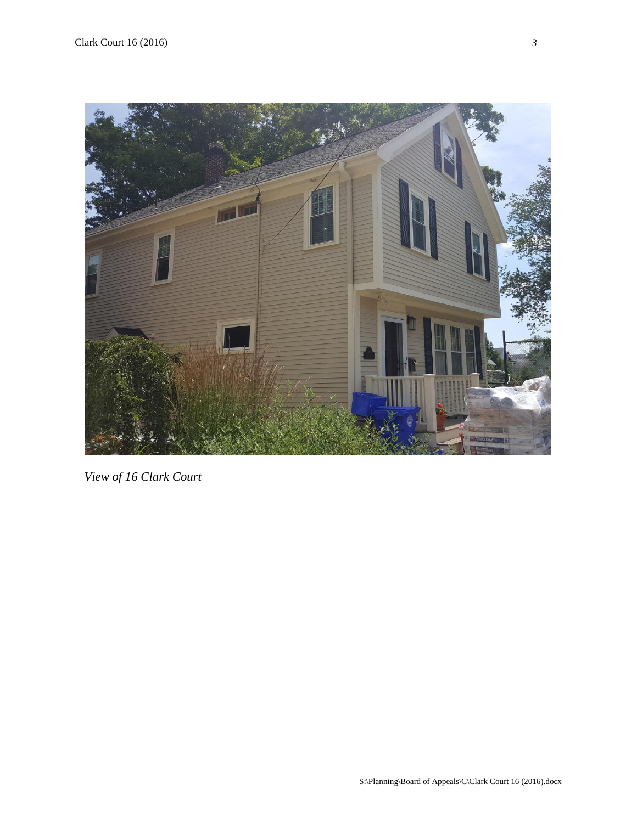

```
 View of 16 Clark Court
```